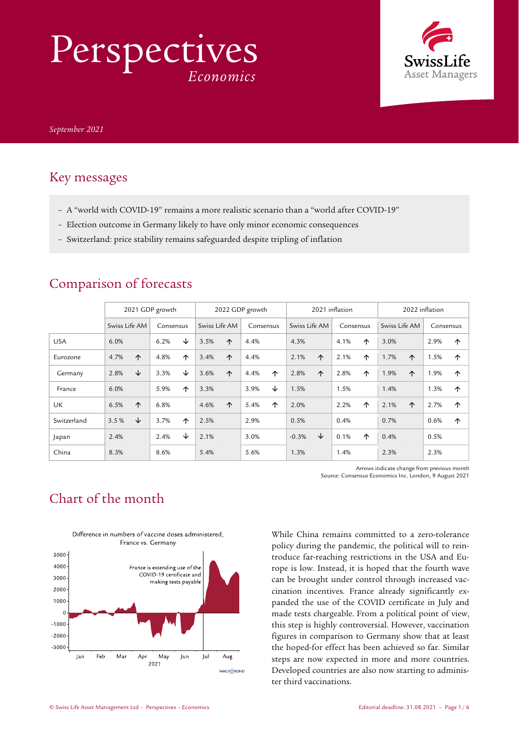# Perspectives *Economics*



## Key messages

- A "world with COVID-19" remains a more realistic scenario than a "world after COVID-19"
- Election outcome in Germany likely to have only minor economic consequences
- Switzerland: price stability remains safeguarded despite tripling of inflation

|             | 2021 GDP growth |   |           | 2022 GDP growth |               |            | 2021 inflation |   |               | 2022 inflation |           |   |               |            |           |            |
|-------------|-----------------|---|-----------|-----------------|---------------|------------|----------------|---|---------------|----------------|-----------|---|---------------|------------|-----------|------------|
|             | Swiss Life AM   |   | Consensus |                 | Swiss Life AM |            | Consensus      |   | Swiss Life AM |                | Consensus |   | Swiss Life AM |            | Consensus |            |
| <b>USA</b>  | 6.0%            |   | 6.2%      | ↓               | 3.5%          | $\uparrow$ | 4.4%           |   | 4.3%          |                | 4.1%      | ↑ | 3.0%          |            | 2.9%      | 个          |
| Eurozone    | 4.7%            | ↑ | 4.8%      | ↑               | 3.4%          | $\uparrow$ | 4.4%           |   | 2.1%          | ↑              | 2.1%      | ↑ | 1.7%          | $\uparrow$ | 1.5%      | ↑          |
| Germany     | 2.8%            | ↓ | 3.3%      | ↓               | 3.6%          | $\uparrow$ | 4.4%           | ↑ | 2.8%          | $\uparrow$     | 2.8%      | 个 | 1.9%          | $\uparrow$ | 1.9%      | $\uparrow$ |
| France      | 6.0%            |   | 5.9%      | ↑               | 3.3%          |            | 3.9%           | ↓ | 1.5%          |                | 1.5%      |   | 1.4%          |            | 1.3%      | ↑          |
| <b>UK</b>   | 6.5%            | ↑ | 6.8%      |                 | 4.6%          | $\uparrow$ | 5.4%           | ↑ | 2.0%          |                | 2.2%      | ↑ | 2.1%          | $\uparrow$ | 2.7%      | ↑          |
| Switzerland | 3.5%            | ↓ | 3.7%      | $\uparrow$      | 2.5%          |            | 2.9%           |   | 0.5%          |                | 0.4%      |   | 0.7%          |            | 0.6%      | ↑          |
| Japan       | 2.4%            |   | 2.4%      | ↓               | 2.1%          |            | 3.0%           |   | $-0.3%$       | ↓              | 0.1%      | ↑ | 0.4%          |            | 0.5%      |            |
| China       | 8.3%            |   | 8.6%      |                 | 5.4%          |            | 5.6%           |   | 1.3%          |                | 1.4%      |   | 2.3%          |            | 2.3%      |            |

## Comparison of forecasts

Arrows indicate change from previous month Source: Consensus Economics Inc. London, 9 August 2021

## Chart of the month



While China remains committed to a zero-tolerance policy during the pandemic, the political will to reintroduce far-reaching restrictions in the USA and Europe is low. Instead, it is hoped that the fourth wave can be brought under control through increased vaccination incentives. France already significantly expanded the use of the COVID certificate in July and made tests chargeable. From a political point of view, this step is highly controversial. However, vaccination figures in comparison to Germany show that at least the hoped-for effect has been achieved so far. Similar steps are now expected in more and more countries. Developed countries are also now starting to administer third vaccinations.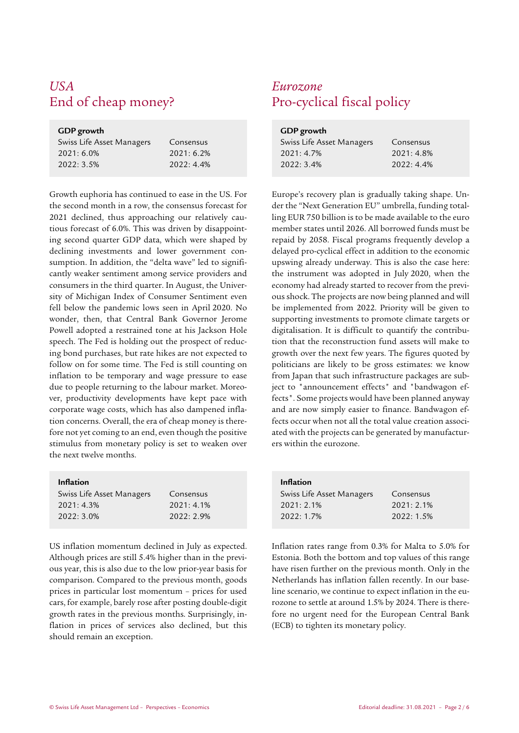## *USA Eurozone*

## **GDP growth**

| Swiss Life Asset Managers | Consensus  |
|---------------------------|------------|
| $2021:6.0\%$              | 2021:6.2%  |
| 2022:3.5%                 | 2022: 4.4% |

Growth euphoria has continued to ease in the US. For the second month in a row, the consensus forecast for 2021 declined, thus approaching our relatively cautious forecast of 6.0%. This was driven by disappointing second quarter GDP data, which were shaped by declining investments and lower government consumption. In addition, the "delta wave" led to significantly weaker sentiment among service providers and consumers in the third quarter. In August, the University of Michigan Index of Consumer Sentiment even fell below the pandemic lows seen in April 2020. No wonder, then, that Central Bank Governor Jerome Powell adopted a restrained tone at his Jackson Hole speech. The Fed is holding out the prospect of reducing bond purchases, but rate hikes are not expected to follow on for some time. The Fed is still counting on inflation to be temporary and wage pressure to ease due to people returning to the labour market. Moreover, productivity developments have kept pace with corporate wage costs, which has also dampened inflation concerns. Overall, the era of cheap money is therefore not yet coming to an end, even though the positive stimulus from monetary policy is set to weaken over the next twelve months.

## **Inflation**

| Swiss Life Asset Managers | Consensus  |
|---------------------------|------------|
| 2021:4.3%                 | 2021: 4.1% |
| 2022: 3.0%                | 2022: 2.9% |

US inflation momentum declined in July as expected. Although prices are still 5.4% higher than in the previous year, this is also due to the low prior-year basis for comparison. Compared to the previous month, goods prices in particular lost momentum – prices for used cars, for example, barely rose after posting double-digit growth rates in the previous months. Surprisingly, inflation in prices of services also declined, but this should remain an exception.

## Pro-cyclical fiscal policy

| GDP growth                |              |  |  |  |  |
|---------------------------|--------------|--|--|--|--|
| Swiss Life Asset Managers | Consensus    |  |  |  |  |
| 2021:4.7%                 | $2021:4.8\%$ |  |  |  |  |
| 2022:3.4%                 | $2022:4.4\%$ |  |  |  |  |

Europe's recovery plan is gradually taking shape. Under the "Next Generation EU" umbrella, funding totalling EUR 750 billion is to be made available to the euro member states until 2026. All borrowed funds must be repaid by 2058. Fiscal programs frequently develop a delayed pro-cyclical effect in addition to the economic upswing already underway. This is also the case here: the instrument was adopted in July 2020, when the economy had already started to recover from the previous shock. The projects are now being planned and will be implemented from 2022. Priority will be given to supporting investments to promote climate targets or digitalisation. It is difficult to quantify the contribution that the reconstruction fund assets will make to growth over the next few years. The figures quoted by politicians are likely to be gross estimates: we know from Japan that such infrastructure packages are subject to "announcement effects" and "bandwagon effects". Some projects would have been planned anyway and are now simply easier to finance. Bandwagon effects occur when not all the total value creation associated with the projects can be generated by manufacturers within the eurozone.

| <b>Inflation</b>          |              |
|---------------------------|--------------|
| Swiss Life Asset Managers | Consensus    |
| $2021:2.1\%$              | $2021:2.1\%$ |
| 2022:1.7%                 | 2022:1.5%    |

Inflation rates range from 0.3% for Malta to 5.0% for Estonia. Both the bottom and top values of this range have risen further on the previous month. Only in the Netherlands has inflation fallen recently. In our baseline scenario, we continue to expect inflation in the eurozone to settle at around 1.5% by 2024. There is therefore no urgent need for the European Central Bank (ECB) to tighten its monetary policy.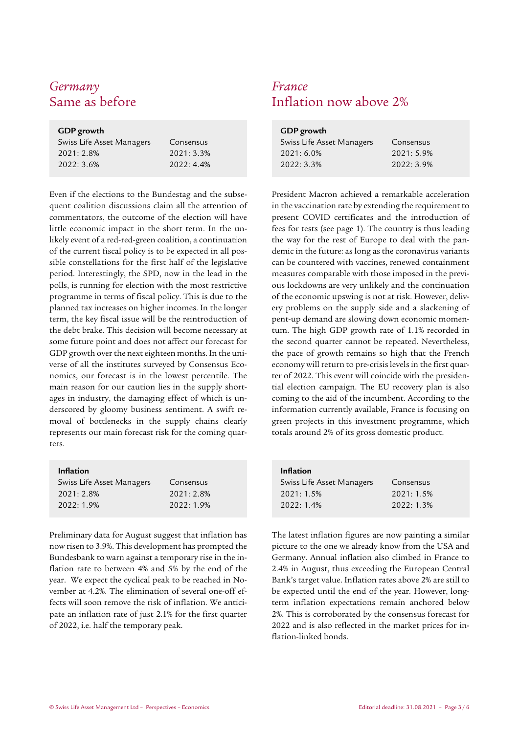## *Germany France*

| GDP growth |  |  |  |  |  |
|------------|--|--|--|--|--|
| Consensus  |  |  |  |  |  |
| 2021:3.3%  |  |  |  |  |  |
| 2022:4.4%  |  |  |  |  |  |
|            |  |  |  |  |  |

Even if the elections to the Bundestag and the subsequent coalition discussions claim all the attention of commentators, the outcome of the election will have little economic impact in the short term. In the unlikely event of a red-red-green coalition, a continuation of the current fiscal policy is to be expected in all possible constellations for the first half of the legislative period. Interestingly, the SPD, now in the lead in the polls, is running for election with the most restrictive programme in terms of fiscal policy. This is due to the planned tax increases on higher incomes. In the longer term, the key fiscal issue will be the reintroduction of the debt brake. This decision will become necessary at some future point and does not affect our forecast for GDP growth over the next eighteen months. In the universe of all the institutes surveyed by Consensus Economics, our forecast is in the lowest percentile. The main reason for our caution lies in the supply shortages in industry, the damaging effect of which is underscored by gloomy business sentiment. A swift removal of bottlenecks in the supply chains clearly represents our main forecast risk for the coming quarters.

### **Inflation**

| Swiss Life Asset Managers | Consensus |
|---------------------------|-----------|
| 2021: 2.8%                | 2021:2.8% |
| 2022: 1.9%                | 2022:1.9% |

Preliminary data for August suggest that inflation has now risen to 3.9%. This development has prompted the Bundesbank to warn against a temporary rise in the inflation rate to between 4% and 5% by the end of the year. We expect the cyclical peak to be reached in November at 4.2%. The elimination of several one-off effects will soon remove the risk of inflation. We anticipate an inflation rate of just 2.1% for the first quarter of 2022, i.e. half the temporary peak.

## Inflation now above 2%

| <b>GDP</b> growth |  |  |  |  |  |
|-------------------|--|--|--|--|--|
| Consensus         |  |  |  |  |  |
| 2021: 5.9%        |  |  |  |  |  |
| 2022:3.9%         |  |  |  |  |  |
|                   |  |  |  |  |  |

President Macron achieved a remarkable acceleration in the vaccination rate by extending the requirement to present COVID certificates and the introduction of fees for tests (see page 1). The country is thus leading the way for the rest of Europe to deal with the pandemic in the future: as long as the coronavirus variants can be countered with vaccines, renewed containment measures comparable with those imposed in the previous lockdowns are very unlikely and the continuation of the economic upswing is not at risk. However, delivery problems on the supply side and a slackening of pent-up demand are slowing down economic momentum. The high GDP growth rate of 1.1% recorded in the second quarter cannot be repeated. Nevertheless, the pace of growth remains so high that the French economy will return to pre-crisis levels in the first quarter of 2022. This event will coincide with the presidential election campaign. The EU recovery plan is also coming to the aid of the incumbent. According to the information currently available, France is focusing on green projects in this investment programme, which totals around 2% of its gross domestic product.

| <b>Inflation</b>          |           |
|---------------------------|-----------|
| Swiss Life Asset Managers | Consensus |
| 2021:1.5%                 | 2021:1.5% |
| 2022:1.4%                 | 2022:1.3% |

The latest inflation figures are now painting a similar picture to the one we already know from the USA and Germany. Annual inflation also climbed in France to 2.4% in August, thus exceeding the European Central Bank's target value. Inflation rates above 2% are still to be expected until the end of the year. However, longterm inflation expectations remain anchored below 2%. This is corroborated by the consensus forecast for 2022 and is also reflected in the market prices for inflation-linked bonds.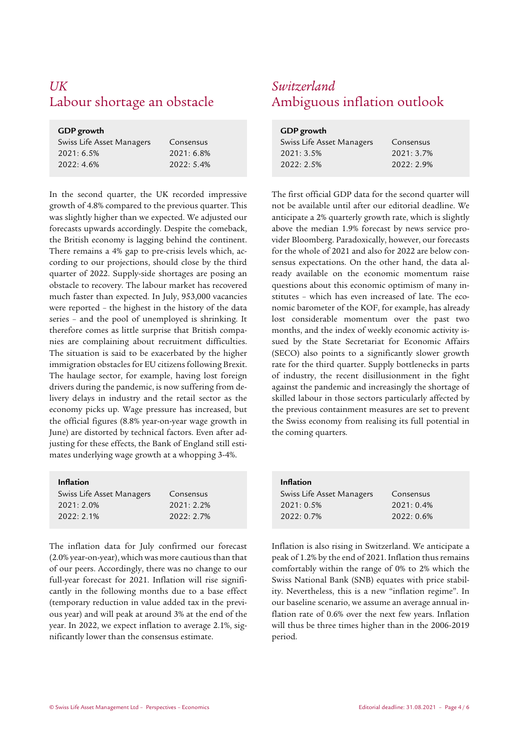## *UK Switzerland* Labour shortage an obstacle Ambiguous inflation outlook

| GDP growth                |              |  |  |  |  |
|---------------------------|--------------|--|--|--|--|
| Swiss Life Asset Managers | Consensus    |  |  |  |  |
| 2021:6.5%                 | $2021:6.8\%$ |  |  |  |  |
| 2022:4.6%                 | 2022:5.4%    |  |  |  |  |

In the second quarter, the UK recorded impressive growth of 4.8% compared to the previous quarter. This was slightly higher than we expected. We adjusted our forecasts upwards accordingly. Despite the comeback, the British economy is lagging behind the continent. There remains a 4% gap to pre-crisis levels which, according to our projections, should close by the third quarter of 2022. Supply-side shortages are posing an obstacle to recovery. The labour market has recovered much faster than expected. In July, 953,000 vacancies were reported – the highest in the history of the data series – and the pool of unemployed is shrinking. It therefore comes as little surprise that British companies are complaining about recruitment difficulties. The situation is said to be exacerbated by the higher immigration obstacles for EU citizens following Brexit. The haulage sector, for example, having lost foreign drivers during the pandemic, is now suffering from delivery delays in industry and the retail sector as the economy picks up. Wage pressure has increased, but the official figures (8.8% year-on-year wage growth in June) are distorted by technical factors. Even after adjusting for these effects, the Bank of England still estimates underlying wage growth at a whopping 3-4%.

#### **Inflation**

| Swiss Life Asset Managers | Consensus |
|---------------------------|-----------|
| 2021: 2.0%                | 2021:2.2% |
| 2022:2.1%                 | 2022:2.7% |

The inflation data for July confirmed our forecast (2.0% year-on-year), which was more cautious than that of our peers. Accordingly, there was no change to our full-year forecast for 2021. Inflation will rise significantly in the following months due to a base effect (temporary reduction in value added tax in the previous year) and will peak at around 3% at the end of the year. In 2022, we expect inflation to average 2.1%, significantly lower than the consensus estimate.

| GDP growth                |           |  |  |  |  |
|---------------------------|-----------|--|--|--|--|
| Swiss Life Asset Managers | Consensus |  |  |  |  |
| 2021: 3.5%                | 2021:3.7% |  |  |  |  |
| 2022:2.5%                 | 2022:2.9% |  |  |  |  |

The first official GDP data for the second quarter will not be available until after our editorial deadline. We anticipate a 2% quarterly growth rate, which is slightly above the median 1.9% forecast by news service provider Bloomberg. Paradoxically, however, our forecasts for the whole of 2021 and also for 2022 are below consensus expectations. On the other hand, the data already available on the economic momentum raise questions about this economic optimism of many institutes – which has even increased of late. The economic barometer of the KOF, for example, has already lost considerable momentum over the past two months, and the index of weekly economic activity issued by the State Secretariat for Economic Affairs (SECO) also points to a significantly slower growth rate for the third quarter. Supply bottlenecks in parts of industry, the recent disillusionment in the fight against the pandemic and increasingly the shortage of skilled labour in those sectors particularly affected by the previous containment measures are set to prevent the Swiss economy from realising its full potential in the coming quarters.

| <b>Inflation</b>          |           |
|---------------------------|-----------|
| Swiss Life Asset Managers | Consensus |
| 2021:0.5%                 | 2021:0.4% |
| 2022:0.7%                 | 2022:0.6% |
|                           |           |

Inflation is also rising in Switzerland. We anticipate a peak of 1.2% by the end of 2021. Inflation thus remains comfortably within the range of 0% to 2% which the Swiss National Bank (SNB) equates with price stability. Nevertheless, this is a new "inflation regime". In our baseline scenario, we assume an average annual inflation rate of 0.6% over the next few years. Inflation will thus be three times higher than in the 2006-2019 period.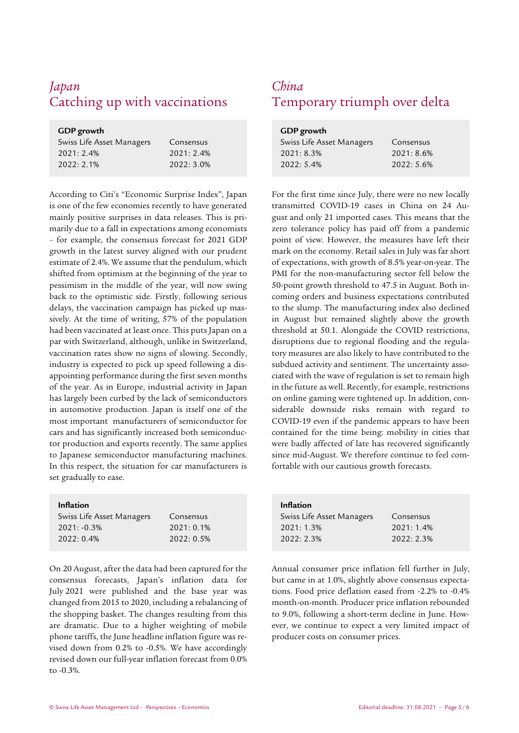## *Japan China* Catching up with vaccinations Temporary triumph over delta

| GDP growth                |           |
|---------------------------|-----------|
| Swiss Life Asset Managers | Consensus |
| 2021:2.4%                 | 2021:2.4% |
| 2022:2.1%                 | 2022:3.0% |
|                           |           |

According to Citi's "Economic Surprise Index", Japan is one of the few economies recently to have generated mainly positive surprises in data releases. This is primarily due to a fall in expectations among economists – for example, the consensus forecast for 2021 GDP growth in the latest survey aligned with our prudent estimate of 2.4%. We assume that the pendulum, which shifted from optimism at the beginning of the year to pessimism in the middle of the year, will now swing back to the optimistic side. Firstly, following serious delays, the vaccination campaign has picked up massively. At the time of writing, 57% of the population had been vaccinated at least once. This puts Japan on a par with Switzerland, although, unlike in Switzerland, vaccination rates show no signs of slowing. Secondly, industry is expected to pick up speed following a disappointing performance during the first seven months of the year. As in Europe, industrial activity in Japan has largely been curbed by the lack of semiconductors in automotive production. Japan is itself one of the most important manufacturers of semiconductor for cars and has significantly increased both semiconductor production and exports recently. The same applies to Japanese semiconductor manufacturing machines. In this respect, the situation for car manufacturers is set gradually to ease.

| <b>Inflation</b>          |           |
|---------------------------|-----------|
| Swiss Life Asset Managers | Consensus |
| $2021: -0.3%$             | 2021:0.1% |
| 2022:0.4%                 | 2022:0.5% |
|                           |           |

On 20 August, after the data had been captured for the consensus forecasts, Japan's inflation data for July 2021 were published and the base year was changed from 2015 to 2020, including a rebalancing of the shopping basket. The changes resulting from this are dramatic. Due to a higher weighting of mobile phone tariffs, the June headline inflation figure was revised down from 0.2% to -0.5%. We have accordingly revised down our full-year inflation forecast from 0.0% to -0.3%.

| GDP growth                |            |
|---------------------------|------------|
| Swiss Life Asset Managers | Consensus  |
| 2021:8.3%                 | 2021: 8.6% |
| 2022:5.4%                 | 2022:5.6%  |

For the first time since July, there were no new locally transmitted COVID-19 cases in China on 24 August and only 21 imported cases. This means that the zero tolerance policy has paid off from a pandemic point of view. However, the measures have left their mark on the economy. Retail sales in July was far short of expectations, with growth of 8.5% year-on-year. The PMI for the non-manufacturing sector fell below the 50-point growth threshold to 47.5 in August. Both incoming orders and business expectations contributed to the slump. The manufacturing index also declined in August but remained slightly above the growth threshold at 50.1. Alongside the COVID restrictions, disruptions due to regional flooding and the regulatory measures are also likely to have contributed to the subdued activity and sentiment. The uncertainty associated with the wave of regulation is set to remain high in the future as well. Recently, for example, restrictions on online gaming were tightened up. In addition, considerable downside risks remain with regard to COVID-19 even if the pandemic appears to have been contained for the time being: mobility in cities that were badly affected of late has recovered significantly since mid-August. We therefore continue to feel comfortable with our cautious growth forecasts.

| <b>Inflation</b>          |           |
|---------------------------|-----------|
| Swiss Life Asset Managers | Consensus |
| 2021:1.3%                 | 2021:1.4% |
| 2022:2.3%                 | 2022:2.3% |

Annual consumer price inflation fell further in July, but came in at 1.0%, slightly above consensus expectations. Food price deflation eased from -2.2% to -0.4% month-on-month. Producer price inflation rebounded to 9.0%, following a short-term decline in June. However, we continue to expect a very limited impact of producer costs on consumer prices.